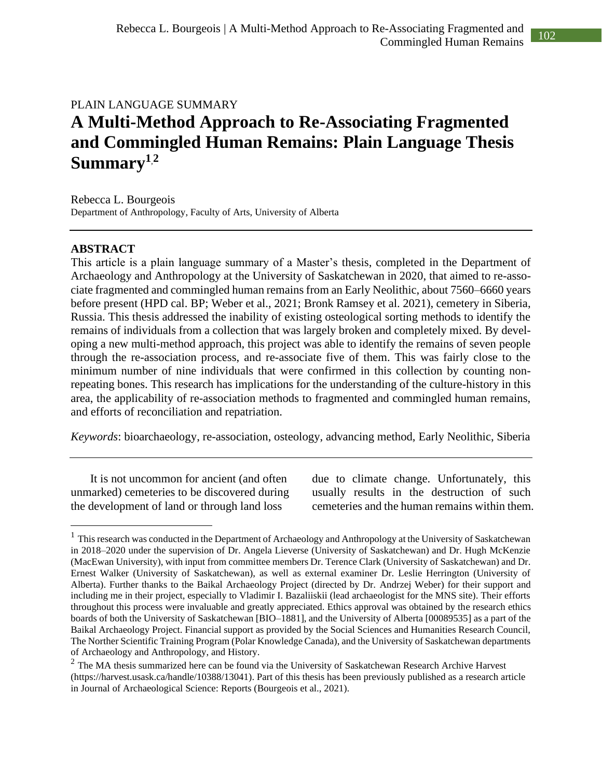## PLAIN LANGUAGE SUMMARY **A Multi-Method Approach to Re-Associating Fragmented and Commingled Human Remains: Plain Language Thesis Summary<sup>1</sup>**,**<sup>2</sup>**

Rebecca L. Bourgeois Department of Anthropology, Faculty of Arts, University of Alberta

## **ABSTRACT**

This article is a plain language summary of a Master's thesis, completed in the Department of Archaeology and Anthropology at the University of Saskatchewan in 2020, that aimed to re-associate fragmented and commingled human remains from an Early Neolithic, about 7560–6660 years before present (HPD cal. BP; Weber et al., 2021; Bronk Ramsey et al. 2021), cemetery in Siberia, Russia. This thesis addressed the inability of existing osteological sorting methods to identify the remains of individuals from a collection that was largely broken and completely mixed. By developing a new multi-method approach, this project was able to identify the remains of seven people through the re-association process, and re-associate five of them. This was fairly close to the minimum number of nine individuals that were confirmed in this collection by counting nonrepeating bones. This research has implications for the understanding of the culture-history in this area, the applicability of re-association methods to fragmented and commingled human remains, and efforts of reconciliation and repatriation.

*Keywords*: bioarchaeology, re-association, osteology, advancing method, Early Neolithic, Siberia

It is not uncommon for ancient (and often unmarked) cemeteries to be discovered during the development of land or through land loss

due to climate change. Unfortunately, this usually results in the destruction of such cemeteries and the human remains within them.

<sup>&</sup>lt;sup>1</sup> This research was conducted in the Department of Archaeology and Anthropology at the University of Saskatchewan in 2018–2020 under the supervision of Dr. Angela Lieverse (University of Saskatchewan) and Dr. Hugh McKenzie (MacEwan University), with input from committee members Dr. Terence Clark (University of Saskatchewan) and Dr. Ernest Walker (University of Saskatchewan), as well as external examiner Dr. Leslie Herrington (University of Alberta). Further thanks to the Baikal Archaeology Project (directed by Dr. Andrzej Weber) for their support and including me in their project, especially to Vladimir I. Bazaliiskii (lead archaeologist for the MNS site). Their efforts throughout this process were invaluable and greatly appreciated. Ethics approval was obtained by the research ethics boards of both the University of Saskatchewan [BIO–1881], and the University of Alberta [00089535] as a part of the Baikal Archaeology Project. Financial support as provided by the Social Sciences and Humanities Research Council, The Norther Scientific Training Program (Polar Knowledge Canada), and the University of Saskatchewan departments of Archaeology and Anthropology, and History.

 $2$  The MA thesis summarized here can be found via the University of Saskatchewan Research Archive Harvest (https://harvest.usask.ca/handle/10388/13041). Part of this thesis has been previously published as a research article in Journal of Archaeological Science: Reports (Bourgeois et al., 2021).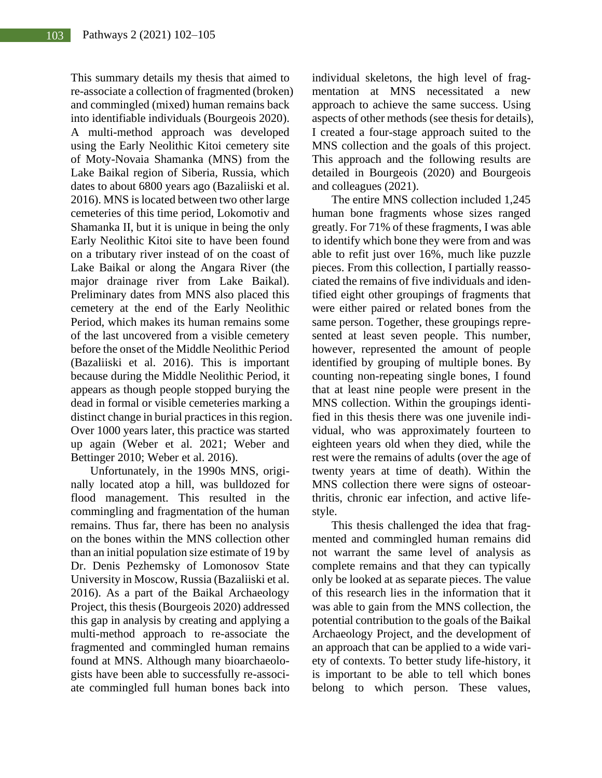This summary details my thesis that aimed to re-associate a collection of fragmented (broken) and commingled (mixed) human remains back into identifiable individuals (Bourgeois 2020). A multi-method approach was developed using the Early Neolithic Kitoi cemetery site of Moty-Novaia Shamanka (MNS) from the Lake Baikal region of Siberia, Russia, which dates to about 6800 years ago (Bazaliiski et al. 2016). MNS is located between two other large cemeteries of this time period, Lokomotiv and Shamanka II, but it is unique in being the only Early Neolithic Kitoi site to have been found on a tributary river instead of on the coast of Lake Baikal or along the Angara River (the major drainage river from Lake Baikal). Preliminary dates from MNS also placed this cemetery at the end of the Early Neolithic Period, which makes its human remains some of the last uncovered from a visible cemetery before the onset of the Middle Neolithic Period (Bazaliiski et al. 2016). This is important because during the Middle Neolithic Period, it appears as though people stopped burying the dead in formal or visible cemeteries marking a distinct change in burial practices in this region. Over 1000 years later, this practice was started up again (Weber et al. 2021; Weber and Bettinger 2010; Weber et al. 2016).

Unfortunately, in the 1990s MNS, originally located atop a hill, was bulldozed for flood management. This resulted in the commingling and fragmentation of the human remains. Thus far, there has been no analysis on the bones within the MNS collection other than an initial population size estimate of 19 by Dr. Denis Pezhemsky of Lomonosov State University in Moscow, Russia (Bazaliiski et al. 2016). As a part of the Baikal Archaeology Project, this thesis (Bourgeois 2020) addressed this gap in analysis by creating and applying a multi-method approach to re-associate the fragmented and commingled human remains found at MNS. Although many bioarchaeologists have been able to successfully re-associate commingled full human bones back into individual skeletons, the high level of fragmentation at MNS necessitated a new approach to achieve the same success. Using aspects of other methods (see thesis for details), I created a four-stage approach suited to the MNS collection and the goals of this project. This approach and the following results are detailed in Bourgeois (2020) and Bourgeois and colleagues (2021).

The entire MNS collection included 1,245 human bone fragments whose sizes ranged greatly. For 71% of these fragments, I was able to identify which bone they were from and was able to refit just over 16%, much like puzzle pieces. From this collection, I partially reassociated the remains of five individuals and identified eight other groupings of fragments that were either paired or related bones from the same person. Together, these groupings represented at least seven people. This number, however, represented the amount of people identified by grouping of multiple bones. By counting non-repeating single bones, I found that at least nine people were present in the MNS collection. Within the groupings identified in this thesis there was one juvenile individual, who was approximately fourteen to eighteen years old when they died, while the rest were the remains of adults (over the age of twenty years at time of death). Within the MNS collection there were signs of osteoarthritis, chronic ear infection, and active lifestyle.

This thesis challenged the idea that fragmented and commingled human remains did not warrant the same level of analysis as complete remains and that they can typically only be looked at as separate pieces. The value of this research lies in the information that it was able to gain from the MNS collection, the potential contribution to the goals of the Baikal Archaeology Project, and the development of an approach that can be applied to a wide variety of contexts. To better study life-history, it is important to be able to tell which bones belong to which person. These values,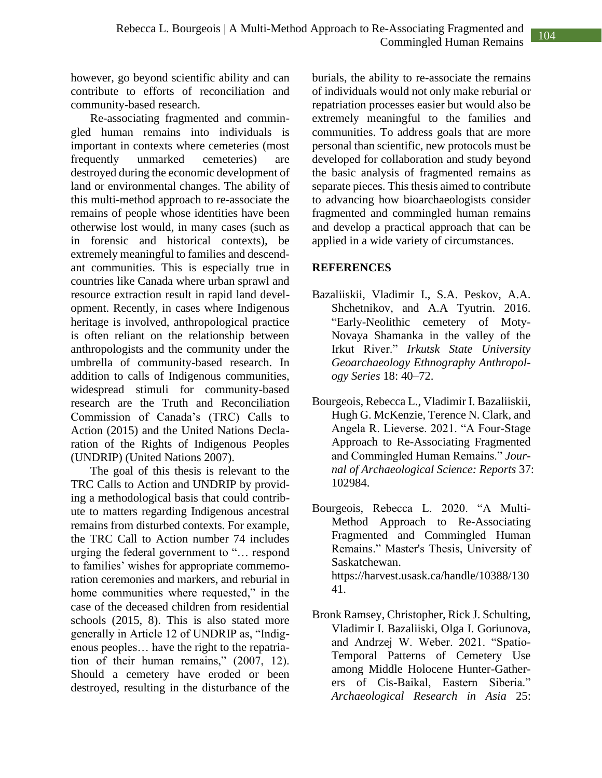however, go beyond scientific ability and can contribute to efforts of reconciliation and community-based research.

Re-associating fragmented and commingled human remains into individuals is important in contexts where cemeteries (most frequently unmarked cemeteries) are destroyed during the economic development of land or environmental changes. The ability of this multi-method approach to re-associate the remains of people whose identities have been otherwise lost would, in many cases (such as in forensic and historical contexts), be extremely meaningful to families and descendant communities. This is especially true in countries like Canada where urban sprawl and resource extraction result in rapid land development. Recently, in cases where Indigenous heritage is involved, anthropological practice is often reliant on the relationship between anthropologists and the community under the umbrella of community-based research. In addition to calls of Indigenous communities, widespread stimuli for community-based research are the Truth and Reconciliation Commission of Canada's (TRC) Calls to Action (2015) and the United Nations Declaration of the Rights of Indigenous Peoples (UNDRIP) (United Nations 2007).

The goal of this thesis is relevant to the TRC Calls to Action and UNDRIP by providing a methodological basis that could contribute to matters regarding Indigenous ancestral remains from disturbed contexts. For example, the TRC Call to Action number 74 includes urging the federal government to "… respond to families' wishes for appropriate commemoration ceremonies and markers, and reburial in home communities where requested," in the case of the deceased children from residential schools (2015, 8). This is also stated more generally in Article 12 of UNDRIP as, "Indigenous peoples… have the right to the repatriation of their human remains," (2007, 12). Should a cemetery have eroded or been destroyed, resulting in the disturbance of the

burials, the ability to re-associate the remains of individuals would not only make reburial or repatriation processes easier but would also be extremely meaningful to the families and communities. To address goals that are more personal than scientific, new protocols must be developed for collaboration and study beyond the basic analysis of fragmented remains as separate pieces. This thesis aimed to contribute to advancing how bioarchaeologists consider fragmented and commingled human remains and develop a practical approach that can be applied in a wide variety of circumstances.

## **REFERENCES**

- Bazaliiskii, Vladimir I., S.A. Peskov, A.A. Shchetnikov, and A.A Tyutrin. 2016. "Early-Neolithic cemetery of Moty-Novaya Shamanka in the valley of the Irkut River." *Irkutsk State University Geoarchaeology Ethnography Anthropology Series* 18: 40–72.
- Bourgeois, Rebecca L., Vladimir I. Bazaliiskii, Hugh G. McKenzie, Terence N. Clark, and Angela R. Lieverse. 2021. "A Four-Stage Approach to Re-Associating Fragmented and Commingled Human Remains." *Journal of Archaeological Science: Reports* 37: 102984.
- Bourgeois, Rebecca L. 2020. "A Multi-Method Approach to Re-Associating Fragmented and Commingled Human Remains." Master's Thesis, University of Saskatchewan. https://harvest.usask.ca/handle/10388/130 41.
- Bronk Ramsey, Christopher, Rick J. Schulting, Vladimir I. Bazaliiski, Olga I. Goriunova, and Andrzej W. Weber. 2021. "Spatio-Temporal Patterns of Cemetery Use among Middle Holocene Hunter-Gatherers of Cis-Baikal, Eastern Siberia." *Archaeological Research in Asia* 25: